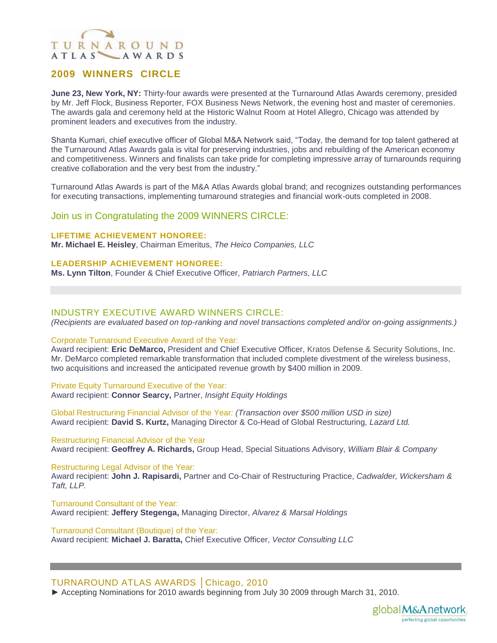# TURNAROUND ATLAS AWARDS

## **2009 WINNERS CIRCLE**

**June 23, New York, NY:** Thirty-four awards were presented at the Turnaround Atlas Awards ceremony, presided by Mr. Jeff Flock, Business Reporter, FOX Business News Network, the evening host and master of ceremonies. The awards gala and ceremony held at the Historic Walnut Room at Hotel Allegro, Chicago was attended by prominent leaders and executives from the industry.

Shanta Kumari, chief executive officer of Global M&A Network said, "Today, the demand for top talent gathered at the Turnaround Atlas Awards gala is vital for preserving industries, jobs and rebuilding of the American economy and competitiveness. Winners and finalists can take pride for completing impressive array of turnarounds requiring creative collaboration and the very best from the industry."

Turnaround Atlas Awards is part of the M&A Atlas Awards global brand; and recognizes outstanding performances for executing transactions, implementing turnaround strategies and financial work-outs completed in 2008.

## Join us in Congratulating the 2009 WINNERS CIRCLE:

#### **LIFETIME ACHIEVEMENT HONOREE:**

**Mr. Michael E. Heisley**, Chairman Emeritus, *The Heico Companies, LLC*

#### **LEADERSHIP ACHIEVEMENT HONOREE:**

**Ms. Lynn Tilton**, Founder & Chief Executive Officer, *Patriarch Partners, LLC*

### INDUSTRY EXECUTIVE AWARD WINNERS CIRCLE:

*(Recipients are evaluated based on top-ranking and novel transactions completed and/or on-going assignments.)* 

#### Corporate Turnaround Executive Award of the Year:

Award recipient: **Eric DeMarco,** President and Chief Executive Officer, Kratos Defense & Security Solutions, Inc. Mr. DeMarco completed remarkable transformation that included complete divestment of the wireless business, two acquisitions and increased the anticipated revenue growth by \$400 million in 2009.

#### Private Equity Turnaround Executive of the Year:

Award recipient: **Connor Searcy,** Partner, *Insight Equity Holdings*

Global Restructuring Financial Advisor of the Year*: (Transaction over \$500 million USD in size)* Award recipient: **David S. Kurtz,** Managing Director & Co-Head of Global Restructuring, *Lazard Ltd.*

Restructuring Financial Advisor of the Year Award recipient: **Geoffrey A. Richards,** Group Head, Special Situations Advisory, *William Blair & Company*

Restructuring Legal Advisor of the Year:

Award recipient: **John J. Rapisardi,** Partner and Co-Chair of Restructuring Practice, *Cadwalder, Wickersham & Taft, LLP.*

Turnaround Consultant of the Year: Award recipient: **Jeffery Stegenga,** Managing Director, *Alvarez & Marsal Holdings*

Turnaround Consultant (Boutique) of the Year: Award recipient: **Michael J. Baratta,** Chief Executive Officer, *Vector Consulting LLC*

### TURNAROUND ATLAS AWARDS │Chicago, 2010

► Accepting Nominations for 2010 awards beginning from July 30 2009 through March 31, 2010.

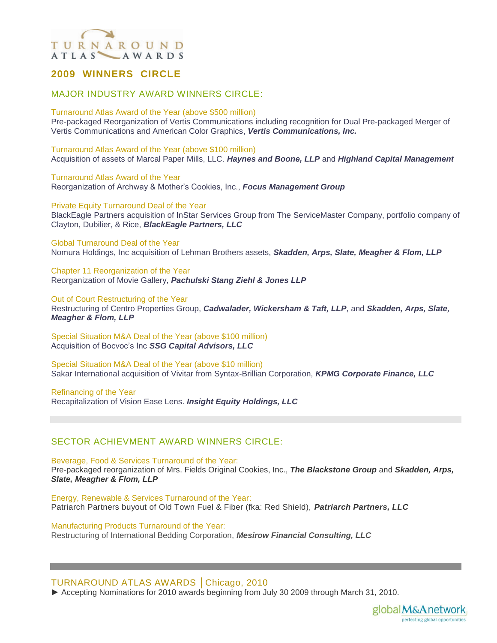# TURNAROUND ATLAS AWARDS

## **2009 WINNERS CIRCLE**

## MAJOR INDUSTRY AWARD WINNERS CIRCLE:

#### Turnaround Atlas Award of the Year (above \$500 million)

Pre-packaged Reorganization of Vertis Communications including recognition for Dual Pre-packaged Merger of Vertis Communications and American Color Graphics, *Vertis Communications, Inc.*

Turnaround Atlas Award of the Year (above \$100 million) Acquisition of assets of Marcal Paper Mills, LLC. *Haynes and Boone, LLP* and *Highland Capital Management*

Turnaround Atlas Award of the Year Reorganization of Archway & Mother's Cookies, Inc., *Focus Management Group*

Private Equity Turnaround Deal of the Year

BlackEagle Partners acquisition of InStar Services Group from The ServiceMaster Company, portfolio company of Clayton, Dubilier, & Rice, *BlackEagle Partners, LLC*

#### Global Turnaround Deal of the Year

Nomura Holdings, Inc acquisition of Lehman Brothers assets, *Skadden, Arps, Slate, Meagher & Flom, LLP*

Chapter 11 Reorganization of the Year Reorganization of Movie Gallery, *Pachulski Stang Ziehl & Jones LLP*

#### Out of Court Restructuring of the Year

Restructuring of Centro Properties Group, *Cadwalader, Wickersham & Taft, LLP*, and *Skadden, Arps, Slate, Meagher & Flom, LLP*

Special Situation M&A Deal of the Year (above \$100 million) Acquisition of Bocvoc's Inc *SSG Capital Advisors, LLC*

Special Situation M&A Deal of the Year (above \$10 million) Sakar International acquisition of Vivitar from Syntax-Brillian Corporation, *KPMG Corporate Finance, LLC*

Refinancing of the Year Recapitalization of Vision Ease Lens. *Insight Equity Holdings, LLC*

## SECTOR ACHIEVMENT AWARD WINNERS CIRCLE:

Beverage, Food & Services Turnaround of the Year:

Pre-packaged reorganization of Mrs. Fields Original Cookies, Inc., *The Blackstone Group* and *Skadden, Arps, Slate, Meagher & Flom, LLP*

Energy, Renewable & Services Turnaround of the Year: Patriarch Partners buyout of Old Town Fuel & Fiber (fka: Red Shield), *Patriarch Partners, LLC*

Manufacturing Products Turnaround of the Year: Restructuring of International Bedding Corporation, *Mesirow Financial Consulting, LLC*

### TURNAROUND ATLAS AWARDS │Chicago, 2010

► Accepting Nominations for 2010 awards beginning from July 30 2009 through March 31, 2010.